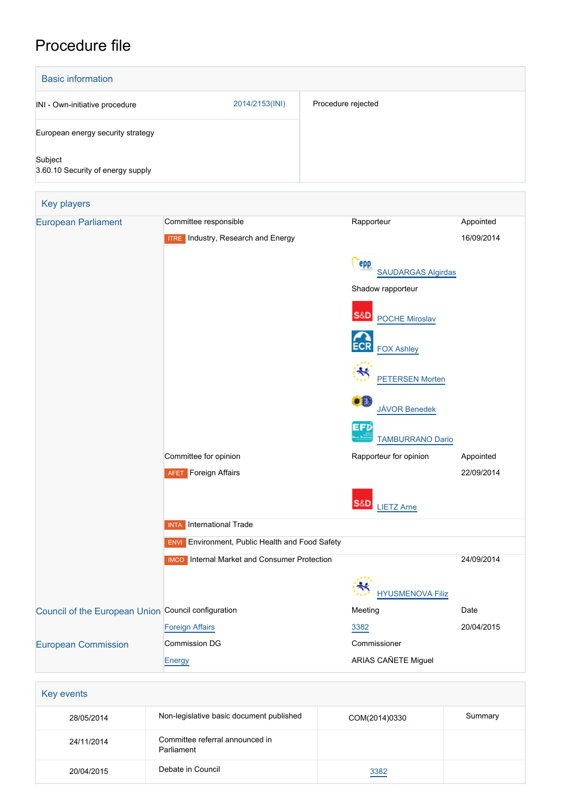# Procedure file

| <b>Basic information</b>                     |                |                    |  |  |
|----------------------------------------------|----------------|--------------------|--|--|
| INI - Own-initiative procedure               | 2014/2153(INI) | Procedure rejected |  |  |
| European energy security strategy            |                |                    |  |  |
| Subject<br>3.60.10 Security of energy supply |                |                    |  |  |

| <b>European Parliament</b>                          | Committee responsible                                  | Rapporteur                                     | Appointed  |
|-----------------------------------------------------|--------------------------------------------------------|------------------------------------------------|------------|
|                                                     | <b>ITRE</b> Industry, Research and Energy              |                                                | 16/09/2014 |
|                                                     |                                                        | epp<br><b>SAUDARGAS Algirdas</b>               |            |
|                                                     |                                                        | Shadow rapporteur                              |            |
|                                                     |                                                        | S&D<br><b>POCHE Miroslav</b>                   |            |
|                                                     |                                                        | <b>ECR</b><br><b>FOX Ashley</b>                |            |
|                                                     |                                                        | <b>PETERSEN Morten</b>                         |            |
|                                                     |                                                        | $\bullet$ <sup>0</sup><br><b>JÁVOR Benedek</b> |            |
|                                                     |                                                        | EFD<br><b>TAMBURRANO Dario</b>                 |            |
|                                                     | Committee for opinion                                  | Rapporteur for opinion                         | Appointed  |
|                                                     | <b>AFET</b> Foreign Affairs                            |                                                | 22/09/2014 |
|                                                     |                                                        | S&D<br><b>LIETZ Arne</b>                       |            |
|                                                     | International Trade<br><b>INTA</b>                     |                                                |            |
|                                                     | <b>ENVI</b> Environment, Public Health and Food Safety |                                                |            |
|                                                     | <b>IMCO</b> Internal Market and Consumer Protection    |                                                | 24/09/2014 |
|                                                     |                                                        | <b>HYUSMENOVA Filiz</b>                        |            |
| Council of the European Union Council configuration |                                                        | Meeting                                        | Date       |
|                                                     | <b>Foreign Affairs</b>                                 | 3382                                           | 20/04/2015 |
| <b>European Commission</b>                          | Commission DG                                          | Commissioner                                   |            |
|                                                     | <b>Energy</b>                                          | ARIAS CAÑETE Miguel                            |            |

| <b>Rey events</b> |                                               |               |         |
|-------------------|-----------------------------------------------|---------------|---------|
| 28/05/2014        | Non-legislative basic document published      | COM(2014)0330 | Summary |
| 24/11/2014        | Committee referral announced in<br>Parliament |               |         |
| 20/04/2015        | Debate in Council                             | 3382          |         |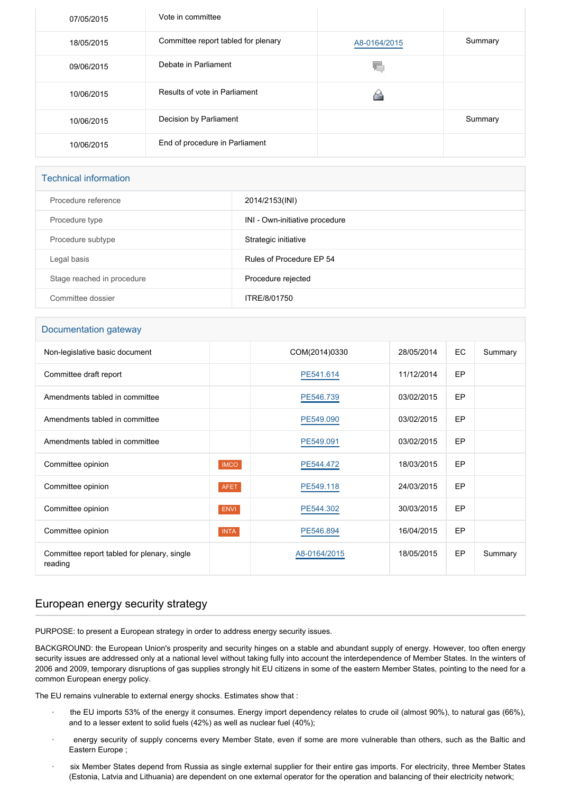| 07/05/2015 | Vote in committee                   |              |         |
|------------|-------------------------------------|--------------|---------|
| 18/05/2015 | Committee report tabled for plenary | A8-0164/2015 | Summary |
| 09/06/2015 | Debate in Parliament                | 40.          |         |
| 10/06/2015 | Results of vote in Parliament       |              |         |
| 10/06/2015 | Decision by Parliament              |              | Summary |
| 10/06/2015 | End of procedure in Parliament      |              |         |

#### Technical information

| Procedure reference        | 2014/2153(INI)                 |
|----------------------------|--------------------------------|
| Procedure type             | INI - Own-initiative procedure |
| Procedure subtype          | Strategic initiative           |
| Legal basis                | Rules of Procedure FP 54       |
| Stage reached in procedure | Procedure rejected             |
| Committee dossier          | ITRE/8/01750                   |

#### Documentation gateway

| Non-legislative basic document                         |             | COM(2014)0330 | 28/05/2014 | EC | Summary |
|--------------------------------------------------------|-------------|---------------|------------|----|---------|
| Committee draft report                                 |             | PE541.614     | 11/12/2014 | EP |         |
| Amendments tabled in committee                         |             | PE546.739     | 03/02/2015 | EP |         |
| Amendments tabled in committee                         |             | PE549.090     | 03/02/2015 | EP |         |
| Amendments tabled in committee                         |             | PE549.091     | 03/02/2015 | EP |         |
| Committee opinion                                      | <b>IMCO</b> | PE544.472     | 18/03/2015 | EP |         |
| Committee opinion                                      | <b>AFET</b> | PE549.118     | 24/03/2015 | EP |         |
| Committee opinion                                      | <b>ENVI</b> | PE544.302     | 30/03/2015 | EP |         |
| Committee opinion                                      | <b>INTA</b> | PE546.894     | 16/04/2015 | EP |         |
| Committee report tabled for plenary, single<br>reading |             | A8-0164/2015  | 18/05/2015 | EP | Summary |

## European energy security strategy

PURPOSE: to present a European strategy in order to address energy security issues.

BACKGROUND: the European Union's prosperity and security hinges on a stable and abundant supply of energy. However, too often energy security issues are addressed only at a national level without taking fully into account the interdependence of Member States. In the winters of 2006 and 2009, temporary disruptions of gas supplies strongly hit EU citizens in some of the eastern Member States, pointing to the need for a common European energy policy.

The EU remains vulnerable to external energy shocks. Estimates show that :

- the EU imports 53% of the energy it consumes. Energy import dependency relates to crude oil (almost 90%), to natural gas (66%), and to a lesser extent to solid fuels (42%) as well as nuclear fuel (40%);
- energy security of supply concerns every Member State, even if some are more vulnerable than others, such as the Baltic and Eastern Europe ;
- six Member States depend from Russia as single external supplier for their entire gas imports. For electricity, three Member States (Estonia, Latvia and Lithuania) are dependent on one external operator for the operation and balancing of their electricity network;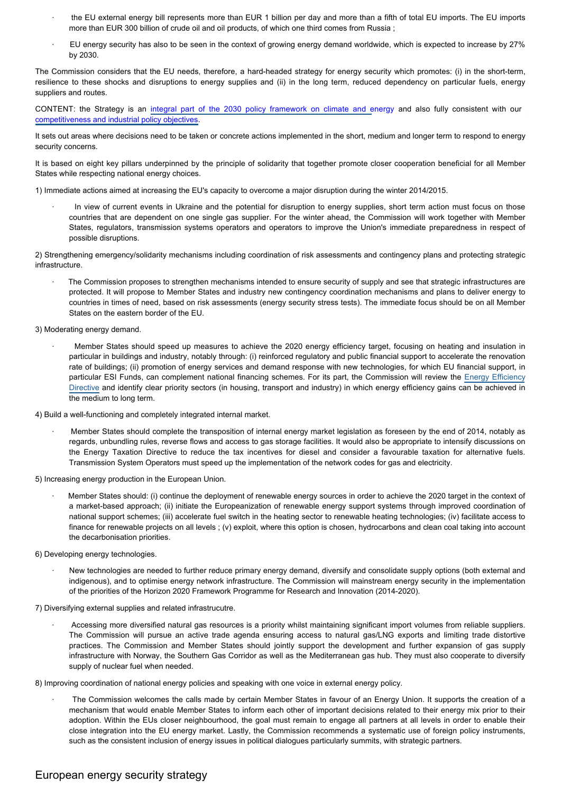- the EU external energy bill represents more than EUR 1 billion per day and more than a fifth of total EU imports. The EU imports more than EUR 300 billion of crude oil and oil products, of which one third comes from Russia ;
- · EU energy security has also to be seen in the context of growing energy demand worldwide, which is expected to increase by 27% by 2030.

The Commission considers that the EU needs, therefore, a hard-headed strategy for energy security which promotes: (i) in the short-term, resilience to these shocks and disruptions to energy supplies and (ii) in the long term, reduced dependency on particular fuels, energy suppliers and routes.

CONTENT: the Strategy is an [integral part of the 2030 policy framework on climate and e](http://www.europarl.europa.eu/oeil/popups/ficheprocedure.do?reference=COM(2014)0015&l=en)nergy and also fully consistent with our [competitiveness and industrial policy objectives](http://www.europarl.europa.eu/oeil/popups/ficheprocedure.do?reference=COM(2014)0014&l=en).

It sets out areas where decisions need to be taken or concrete actions implemented in the short, medium and longer term to respond to energy security concerns.

It is based on eight key pillars underpinned by the principle of solidarity that together promote closer cooperation beneficial for all Member States while respecting national energy choices.

1) Immediate actions aimed at increasing the EU's capacity to overcome a major disruption during the winter 2014/2015.

In view of current events in Ukraine and the potential for disruption to energy supplies, short term action must focus on those countries that are dependent on one single gas supplier. For the winter ahead, the Commission will work together with Member States, regulators, transmission systems operators and operators to improve the Union's immediate preparedness in respect of possible disruptions.

2) Strengthening emergency/solidarity mechanisms including coordination of risk assessments and contingency plans and protecting strategic infrastructure.

The Commission proposes to strengthen mechanisms intended to ensure security of supply and see that strategic infrastructures are protected. It will propose to Member States and industry new contingency coordination mechanisms and plans to deliver energy to countries in times of need, based on risk assessments (energy security stress tests). The immediate focus should be on all Member States on the eastern border of the EU.

3) Moderating energy demand.

· Member States should speed up measures to achieve the 2020 energy efficiency target, focusing on heating and insulation in particular in buildings and industry, notably through: (i) reinforced regulatory and public financial support to accelerate the renovation rate of buildings; (ii) promotion of energy services and demand response with new technologies, for which EU financial support, in particular ESI Funds, can complement national financing schemes. For its part, the Commission will review the [Energy Efficiency](http://www.europarl.europa.eu/oeil/popups/ficheprocedure.do?reference=2011/0172(COD)&l=en) [Directive](http://www.europarl.europa.eu/oeil/popups/ficheprocedure.do?reference=2011/0172(COD)&l=en) and identify clear priority sectors (in housing, transport and industry) in which energy efficiency gains can be achieved in the medium to long term.

4) Build a well-functioning and completely integrated internal market.

Member States should complete the transposition of internal energy market legislation as foreseen by the end of 2014, notably as regards, unbundling rules, reverse flows and access to gas storage facilities. It would also be appropriate to intensify discussions on the Energy Taxation Directive to reduce the tax incentives for diesel and consider a favourable taxation for alternative fuels. Transmission System Operators must speed up the implementation of the network codes for gas and electricity.

5) Increasing energy production in the European Union.

Member States should: (i) continue the deployment of renewable energy sources in order to achieve the 2020 target in the context of a market-based approach; (ii) initiate the Europeanization of renewable energy support systems through improved coordination of national support schemes; (iii) accelerate fuel switch in the heating sector to renewable heating technologies; (iv) facilitate access to finance for renewable projects on all levels ; (v) exploit, where this option is chosen, hydrocarbons and clean coal taking into account the decarbonisation priorities.

6) Developing energy technologies.

New technologies are needed to further reduce primary energy demand, diversify and consolidate supply options (both external and indigenous), and to optimise energy network infrastructure. The Commission will mainstream energy security in the implementation of the priorities of the Horizon 2020 Framework Programme for Research and Innovation (2014-2020).

7) Diversifying external supplies and related infrastrucutre.

· Accessing more diversified natural gas resources is a priority whilst maintaining significant import volumes from reliable suppliers. The Commission will pursue an active trade agenda ensuring access to natural gas/LNG exports and limiting trade distortive practices. The Commission and Member States should jointly support the development and further expansion of gas supply infrastructure with Norway, the Southern Gas Corridor as well as the Mediterranean gas hub. They must also cooperate to diversify supply of nuclear fuel when needed.

8) Improving coordination of national energy policies and speaking with one voice in external energy policy.

The Commission welcomes the calls made by certain Member States in favour of an Energy Union. It supports the creation of a mechanism that would enable Member States to inform each other of important decisions related to their energy mix prior to their adoption. Within the EUs closer neighbourhood, the goal must remain to engage all partners at all levels in order to enable their close integration into the EU energy market. Lastly, the Commission recommends a systematic use of foreign policy instruments, such as the consistent inclusion of energy issues in political dialogues particularly summits, with strategic partners.

## European energy security strategy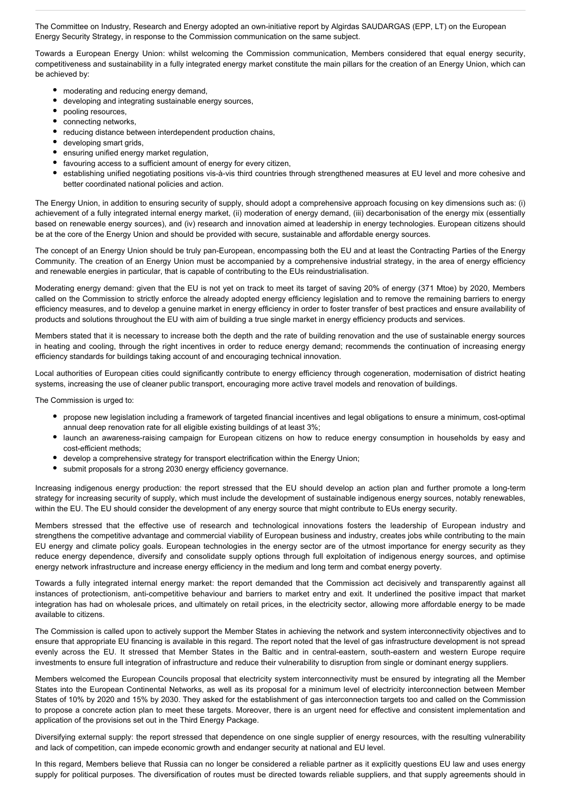The Committee on Industry, Research and Energy adopted an own-initiative report by Algirdas SAUDARGAS (EPP, LT) on the European Energy Security Strategy, in response to the Commission communication on the same subject.

Towards a European Energy Union: whilst welcoming the Commission communication, Members considered that equal energy security, competitiveness and sustainability in a fully integrated energy market constitute the main pillars for the creation of an Energy Union, which can be achieved by:

- moderating and reducing energy demand,
- $\bullet$ developing and integrating sustainable energy sources,
- $\bullet$ pooling resources,
- connecting networks,
- reducing distance between interdependent production chains,  $\bullet$
- developing smart grids,
- ensuring unified energy market regulation,
- favouring access to a sufficient amount of energy for every citizen,
- establishing unified negotiating positions vis-à-vis third countries through strengthened measures at EU level and more cohesive and better coordinated national policies and action.

The Energy Union, in addition to ensuring security of supply, should adopt a comprehensive approach focusing on key dimensions such as: (i) achievement of a fully integrated internal energy market, (ii) moderation of energy demand, (iii) decarbonisation of the energy mix (essentially based on renewable energy sources), and (iv) research and innovation aimed at leadership in energy technologies. European citizens should be at the core of the Energy Union and should be provided with secure, sustainable and affordable energy sources.

The concept of an Energy Union should be truly pan-European, encompassing both the EU and at least the Contracting Parties of the Energy Community. The creation of an Energy Union must be accompanied by a comprehensive industrial strategy, in the area of energy efficiency and renewable energies in particular, that is capable of contributing to the EUs reindustrialisation.

Moderating energy demand: given that the EU is not yet on track to meet its target of saving 20% of energy (371 Mtoe) by 2020, Members called on the Commission to strictly enforce the already adopted energy efficiency legislation and to remove the remaining barriers to energy efficiency measures, and to develop a genuine market in energy efficiency in order to foster transfer of best practices and ensure availability of products and solutions throughout the EU with aim of building a true single market in energy efficiency products and services.

Members stated that it is necessary to increase both the depth and the rate of building renovation and the use of sustainable energy sources in heating and cooling, through the right incentives in order to reduce energy demand; recommends the continuation of increasing energy efficiency standards for buildings taking account of and encouraging technical innovation.

Local authorities of European cities could significantly contribute to energy efficiency through cogeneration, modernisation of district heating systems, increasing the use of cleaner public transport, encouraging more active travel models and renovation of buildings.

The Commission is urged to:

- propose new legislation including a framework of targeted financial incentives and legal obligations to ensure a minimum, cost-optimal annual deep renovation rate for all eligible existing buildings of at least 3%;
- launch an awareness-raising campaign for European citizens on how to reduce energy consumption in households by easy and cost-efficient methods;
- develop a comprehensive strategy for transport electrification within the Energy Union;
- submit proposals for a strong 2030 energy efficiency governance.

Increasing indigenous energy production: the report stressed that the EU should develop an action plan and further promote a long-term strategy for increasing security of supply, which must include the development of sustainable indigenous energy sources, notably renewables, within the EU. The EU should consider the development of any energy source that might contribute to EUs energy security.

Members stressed that the effective use of research and technological innovations fosters the leadership of European industry and strengthens the competitive advantage and commercial viability of European business and industry, creates jobs while contributing to the main EU energy and climate policy goals. European technologies in the energy sector are of the utmost importance for energy security as they reduce energy dependence, diversify and consolidate supply options through full exploitation of indigenous energy sources, and optimise energy network infrastructure and increase energy efficiency in the medium and long term and combat energy poverty.

Towards a fully integrated internal energy market: the report demanded that the Commission act decisively and transparently against all instances of protectionism, anti-competitive behaviour and barriers to market entry and exit. It underlined the positive impact that market integration has had on wholesale prices, and ultimately on retail prices, in the electricity sector, allowing more affordable energy to be made available to citizens.

The Commission is called upon to actively support the Member States in achieving the network and system interconnectivity objectives and to ensure that appropriate EU financing is available in this regard. The report noted that the level of gas infrastructure development is not spread evenly across the EU. It stressed that Member States in the Baltic and in central-eastern, south-eastern and western Europe require investments to ensure full integration of infrastructure and reduce their vulnerability to disruption from single or dominant energy suppliers.

Members welcomed the European Councils proposal that electricity system interconnectivity must be ensured by integrating all the Member States into the European Continental Networks, as well as its proposal for a minimum level of electricity interconnection between Member States of 10% by 2020 and 15% by 2030. They asked for the establishment of gas interconnection targets too and called on the Commission to propose a concrete action plan to meet these targets. Moreover, there is an urgent need for effective and consistent implementation and application of the provisions set out in the Third Energy Package.

Diversifying external supply: the report stressed that dependence on one single supplier of energy resources, with the resulting vulnerability and lack of competition, can impede economic growth and endanger security at national and EU level.

In this regard, Members believe that Russia can no longer be considered a reliable partner as it explicitly questions EU law and uses energy supply for political purposes. The diversification of routes must be directed towards reliable suppliers, and that supply agreements should in